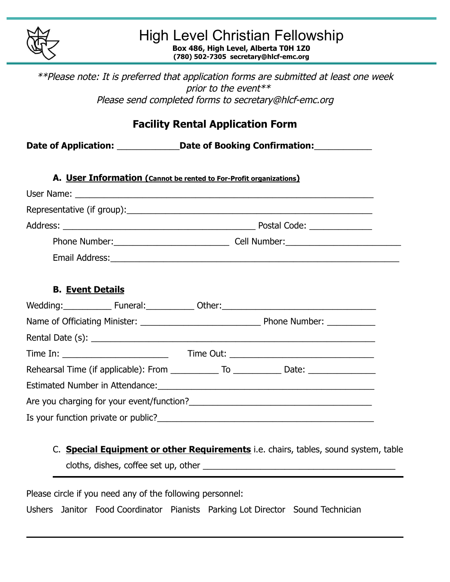

## High Level Christian Fellowship **Box 486, High Level, Alberta T0H 1Z0**

**(780) 502-7305 secretary@hlcf-emc.org**

\*\*Please note: It is preferred that application forms are submitted at least one week prior to the event\*\* Please send completed forms to secretary@hlcf-emc.org

| <b>Facility Rental Application Form</b>                                                              |  |  |  |  |  |
|------------------------------------------------------------------------------------------------------|--|--|--|--|--|
| Date of Application: _______________Date of Booking Confirmation: ______________                     |  |  |  |  |  |
| A. User Information (Cannot be rented to For-Profit organizations)                                   |  |  |  |  |  |
|                                                                                                      |  |  |  |  |  |
|                                                                                                      |  |  |  |  |  |
|                                                                                                      |  |  |  |  |  |
|                                                                                                      |  |  |  |  |  |
|                                                                                                      |  |  |  |  |  |
| <b>B. Event Details</b>                                                                              |  |  |  |  |  |
|                                                                                                      |  |  |  |  |  |
|                                                                                                      |  |  |  |  |  |
|                                                                                                      |  |  |  |  |  |
| Rehearsal Time (if applicable): From _____________ To _____________ Date: __________________________ |  |  |  |  |  |
|                                                                                                      |  |  |  |  |  |
|                                                                                                      |  |  |  |  |  |
|                                                                                                      |  |  |  |  |  |

C. **Special Equipment or other Requirements** i.e. chairs, tables, sound system, table cloths, dishes, coffee set up, other \_\_\_\_\_\_\_\_\_\_\_\_\_\_\_\_\_\_\_\_\_\_\_\_\_\_\_\_\_\_\_\_\_\_\_\_\_\_\_\_

Please circle if you need any of the following personnel: Ushers Janitor Food Coordinator Pianists Parking Lot Director Sound Technician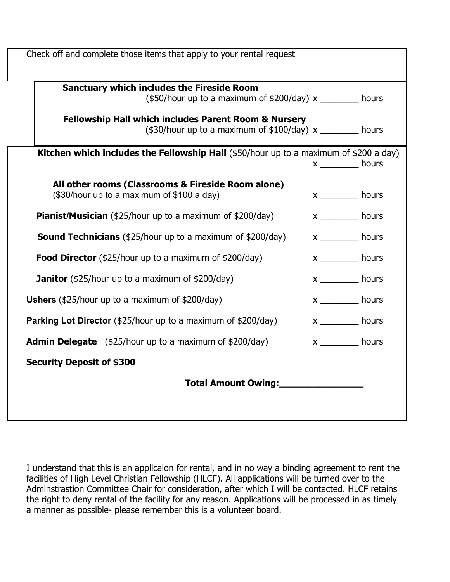| Check off and complete those items that apply to your rental request                                                |                                    |  |
|---------------------------------------------------------------------------------------------------------------------|------------------------------------|--|
| <b>Sanctuary which includes the Fireside Room</b><br>$($50/hour up to a maximum of $200/day) x$ hours               |                                    |  |
| <b>Fellowship Hall which includes Parent Room &amp; Nursery</b><br>$($30/hour up to a maximum of $100/day) x$ hours |                                    |  |
| <b>Kitchen which includes the Fellowship Hall</b> (\$50/hour up to a maximum of \$200 a day)                        | $x$ ______________ hours           |  |
| All other rooms (Classrooms & Fireside Room alone)<br>(\$30/hour up to a maximum of \$100 a day)                    | $x$ ______________ hours           |  |
| <b>Pianist/Musician</b> (\$25/hour up to a maximum of \$200/day)                                                    | $x \underline{\hspace{2cm}}$ hours |  |
| <b>Sound Technicians</b> (\$25/hour up to a maximum of \$200/day)                                                   | $x$ ______________ hours           |  |
| Food Director (\$25/hour up to a maximum of \$200/day)                                                              | x ___________ hours                |  |
| <b>Janitor</b> (\$25/hour up to a maximum of \$200/day)                                                             | $x$ _______________ hours          |  |
| <b>Ushers</b> (\$25/hour up to a maximum of \$200/day)                                                              | $x \underline{\hspace{2cm}}$ hours |  |
| <b>Parking Lot Director</b> (\$25/hour up to a maximum of \$200/day)                                                | $x \underline{\hspace{2cm}}$ hours |  |
| <b>Admin Delegate</b> $(\frac{25}{h}$ our up to a maximum of $\frac{200}{day}$                                      | $x$ ______________ hours           |  |
| <b>Security Deposit of \$300</b>                                                                                    |                                    |  |
| Total Amount Owing:                                                                                                 |                                    |  |
|                                                                                                                     |                                    |  |

I understand that this is an applicaion for rental, and in no way a binding agreement to rent the facilities of High Level Christian Fellowship (HLCF). All applications will be turned over to the Adminstrastion Committee Chair for consideration, after which I will be contacted. HLCF retains the right to deny rental of the facility for any reason. Applications will be processed in as timely a manner as possible- please remember this is a volunteer board.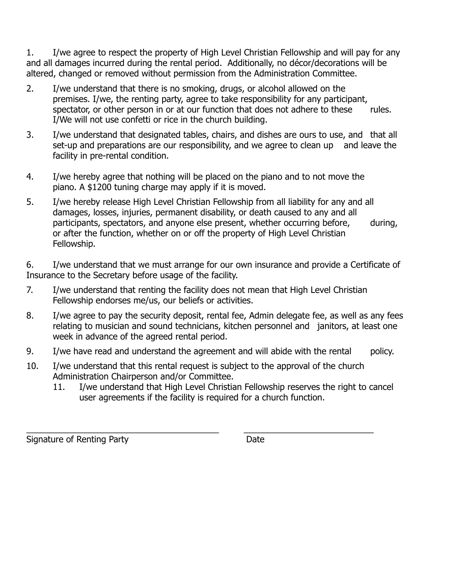1. I/we agree to respect the property of High Level Christian Fellowship and will pay for any and all damages incurred during the rental period. Additionally, no décor/decorations will be altered, changed or removed without permission from the Administration Committee.

- 2. I/we understand that there is no smoking, drugs, or alcohol allowed on the premises. I/we, the renting party, agree to take responsibility for any participant, spectator, or other person in or at our function that does not adhere to these rules. I/We will not use confetti or rice in the church building.
- 3. I/we understand that designated tables, chairs, and dishes are ours to use, and that all set-up and preparations are our responsibility, and we agree to clean up and leave the facility in pre-rental condition.
- 4. I/we hereby agree that nothing will be placed on the piano and to not move the piano. A \$1200 tuning charge may apply if it is moved.
- 5. I/we hereby release High Level Christian Fellowship from all liability for any and all damages, losses, injuries, permanent disability, or death caused to any and all participants, spectators, and anyone else present, whether occurring before, during, or after the function, whether on or off the property of High Level Christian Fellowship.

6. I/we understand that we must arrange for our own insurance and provide a Certificate of Insurance to the Secretary before usage of the facility.

- 7. I/we understand that renting the facility does not mean that High Level Christian Fellowship endorses me/us, our beliefs or activities.
- 8. I/we agree to pay the security deposit, rental fee, Admin delegate fee, as well as any fees relating to musician and sound technicians, kitchen personnel and janitors, at least one week in advance of the agreed rental period.
- 9. I/we have read and understand the agreement and will abide with the rental policy.
- 10. I/we understand that this rental request is subject to the approval of the church Administration Chairperson and/or Committee.
	- 11. I/we understand that High Level Christian Fellowship reserves the right to cancel user agreements if the facility is required for a church function.

\_\_\_\_\_\_\_\_\_\_\_\_\_\_\_\_\_\_\_\_\_\_\_\_\_\_\_\_\_\_\_\_\_\_\_\_\_\_\_\_ \_\_\_\_\_\_\_\_\_\_\_\_\_\_\_\_\_\_\_\_\_\_\_\_\_\_\_ Signature of Renting Party **Date**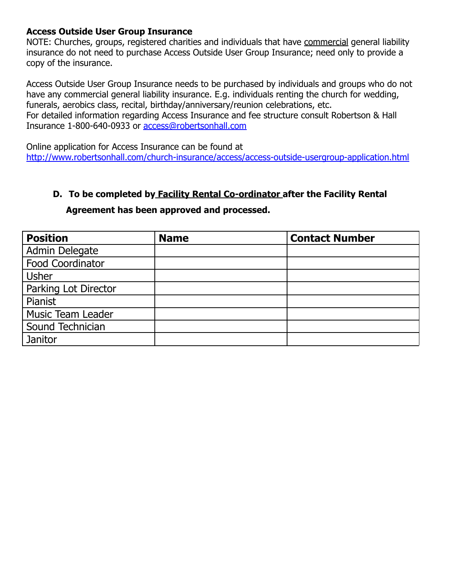#### **Access Outside User Group Insurance**

NOTE: Churches, groups, registered charities and individuals that have commercial general liability insurance do not need to purchase Access Outside User Group Insurance; need only to provide a copy of the insurance.

Access Outside User Group Insurance needs to be purchased by individuals and groups who do not have any commercial general liability insurance. E.g. individuals renting the church for wedding, funerals, aerobics class, recital, birthday/anniversary/reunion celebrations, etc. For detailed information regarding Access Insurance and fee structure consult Robertson & Hall Insurance 1-800-640-0933 or [access@robertsonhall.com](mailto:access@robertsonhall.com)

Online application for Access Insurance can be found at <http://www.robertsonhall.com/church-insurance/access/access-outside-usergroup-application.html>

#### **D. To be completed by Facility Rental Co-ordinator after the Facility Rental**

# **Agreement has been approved and processed.**

| <b>Position</b>          | <b>Name</b> | <b>Contact Number</b> |
|--------------------------|-------------|-----------------------|
| Admin Delegate           |             |                       |
| Food Coordinator         |             |                       |
| <b>Usher</b>             |             |                       |
| Parking Lot Director     |             |                       |
| Pianist                  |             |                       |
| <b>Music Team Leader</b> |             |                       |
| Sound Technician         |             |                       |
| Janitor                  |             |                       |